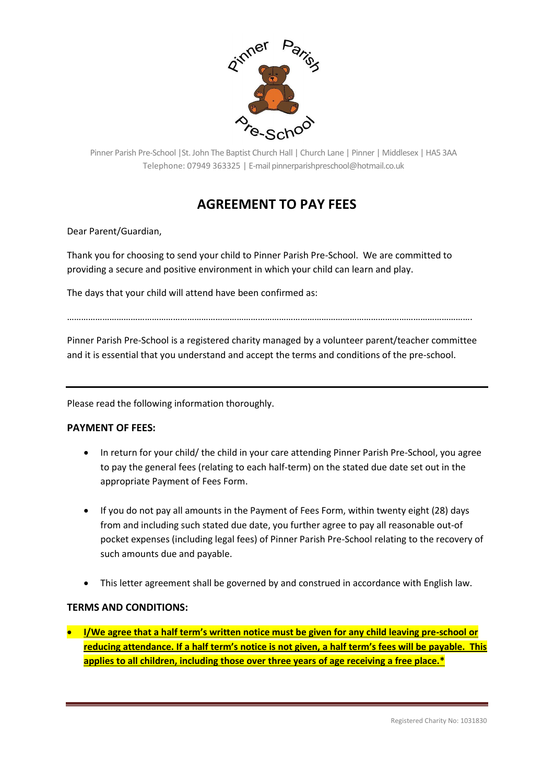

Pinner Parish Pre-School |St. John The Baptist Church Hall | Church Lane | Pinner | Middlesex | HA5 3AA Telephone: 07949 363325 | E-mail pinnerparishpreschool@hotmail.co.uk

## **AGREEMENT TO PAY FEES**

Dear Parent/Guardian,

Thank you for choosing to send your child to Pinner Parish Pre-School. We are committed to providing a secure and positive environment in which your child can learn and play.

The days that your child will attend have been confirmed as:

……………………………………………………………………………………………………………………………………………………….

Pinner Parish Pre-School is a registered charity managed by a volunteer parent/teacher committee and it is essential that you understand and accept the terms and conditions of the pre-school.

Please read the following information thoroughly.

## **PAYMENT OF FEES:**

- In return for your child/ the child in your care attending Pinner Parish Pre-School, you agree to pay the general fees (relating to each half-term) on the stated due date set out in the appropriate Payment of Fees Form.
- If you do not pay all amounts in the Payment of Fees Form, within twenty eight (28) days from and including such stated due date, you further agree to pay all reasonable out-of pocket expenses (including legal fees) of Pinner Parish Pre-School relating to the recovery of such amounts due and payable.
- This letter agreement shall be governed by and construed in accordance with English law.

## **TERMS AND CONDITIONS:**

• **I/We agree that a half term's written notice must be given for any child leaving pre-school or reducing attendance. If a half term's notice is not given, a half term's fees will be payable. This applies to all children, including those over three years of age receiving a free place.\***